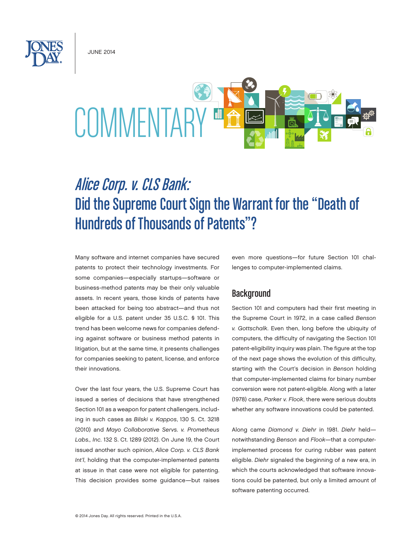June 2014



# Alice Corp. v. CLS Bank: Did the Supreme Court Sign the Warrant for the "Death of Hundreds of Thousands of Patents"?

Many software and internet companies have secured patents to protect their technology investments. For some companies—especially startups—software or business-method patents may be their only valuable assets. In recent years, those kinds of patents have been attacked for being too abstract—and thus not eligible for a U.S. patent under 35 U.S.C. § 101. This trend has been welcome news for companies defending against software or business method patents in litigation, but at the same time, it presents challenges for companies seeking to patent, license, and enforce their innovations.

Over the last four years, the U.S. Supreme Court has issued a series of decisions that have strengthened Section 101 as a weapon for patent challengers, including in such cases as *Bilski v. Kappos*, 130 S. Ct. 3218 (2010) and *Mayo Collaborative Servs. v. Prometheus Labs., Inc.* 132 S. Ct. 1289 (2012). On June 19, the Court issued another such opinion, *Alice Corp. v. CLS Bank Int'l*, holding that the computer-implemented patents at issue in that case were not eligible for patenting. This decision provides some guidance—but raises

even more questions—for future Section 101 challenges to computer-implemented claims.

## **Background**

Section 101 and computers had their first meeting in the Supreme Court in 1972, in a case called *Benson v. Gottschalk*. Even then, long before the ubiquity of computers, the difficulty of navigating the Section 101 patent-eligibility inquiry was plain. The figure at the top of the next page shows the evolution of this difficulty, starting with the Court's decision in *Benson* holding that computer-implemented claims for binary number conversion were not patent-eligible. Along with a later (1978) case, *Parker v. Flook*, there were serious doubts whether any software innovations could be patented.

Along came *Diamond v. Diehr* in 1981. *Diehr* held notwithstanding *Benson* and *Flook*—that a computerimplemented process for curing rubber was patent eligible. *Diehr* signaled the beginning of a new era, in which the courts acknowledged that software innovations could be patented, but only a limited amount of software patenting occurred.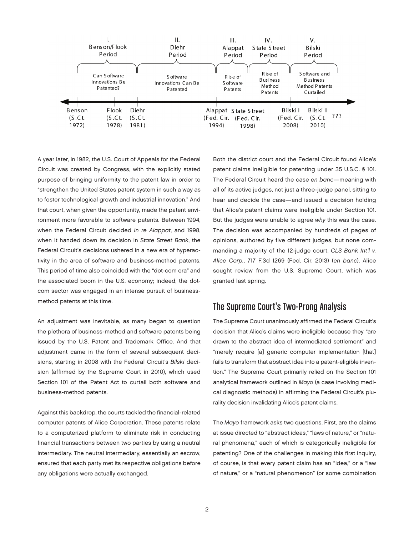

A year later, in 1982, the U.S. Court of Appeals for the Federal Circuit was created by Congress, with the explicitly stated purpose of bringing uniformity to the patent law in order to "strengthen the United States patent system in such a way as to foster technological growth and industrial innovation." And that court, when given the opportunity, made the patent environment more favorable to software patents. Between 1994, when the Federal Circuit decided *In re Alappat*, and 1998, when it handed down its decision in *State Street Bank*, the Federal Circuit's decisions ushered in a new era of hyperactivity in the area of software and business-method patents. This period of time also coincided with the "dot-com era" and the associated boom in the U.S. economy; indeed, the dotcom sector was engaged in an intense pursuit of businessmethod patents at this time.

An adjustment was inevitable, as many began to question the plethora of business-method and software patents being issued by the U.S. Patent and Trademark Office. And that adjustment came in the form of several subsequent decisions, starting in 2008 with the Federal Circuit's *Bilski* decision (affirmed by the Supreme Court in 2010), which used Section 101 of the Patent Act to curtail both software and business-method patents.

Against this backdrop, the courts tackled the financial-related computer patents of Alice Corporation. These patents relate to a computerized platform to eliminate risk in conducting financial transactions between two parties by using a neutral intermediary. The neutral intermediary, essentially an escrow, ensured that each party met its respective obligations before any obligations were actually exchanged.

Both the district court and the Federal Circuit found Alice's patent claims ineligible for patenting under 35 U.S.C. § 101. The Federal Circuit heard the case *en banc*—meaning with all of its active judges, not just a three-judge panel, sitting to hear and decide the case—and issued a decision holding that Alice's patent claims were ineligible under Section 101. But the judges were unable to agree *why* this was the case. The decision was accompanied by hundreds of pages of opinions, authored by five different judges, but none commanding a majority of the 12-judge court. *CLS Bank Int'l v. Alice Corp.*, 717 F.3d 1269 (Fed. Cir. 2013) (*en banc*). Alice sought review from the U.S. Supreme Court, which was granted last spring.

## The Supreme Court's Two-Prong Analysis

The Supreme Court unanimously affirmed the Federal Circuit's decision that Alice's claims were ineligible because they "are drawn to the abstract idea of intermediated settlement" and "merely require [a] generic computer implementation [that] fails to transform that abstract idea into a patent-eligible invention." The Supreme Court primarily relied on the Section 101 analytical framework outlined in *Mayo* (a case involving medical diagnostic methods) in affirming the Federal Circuit's plurality decision invalidating Alice's patent claims.

The *Mayo* framework asks two questions. First, are the claims at issue directed to "abstract ideas," "laws of nature," or "natural phenomena," each of which is categorically ineligible for patenting? One of the challenges in making this first inquiry, of course, is that every patent claim has an "idea," or a "law of nature," or a "natural phenomenon" (or some combination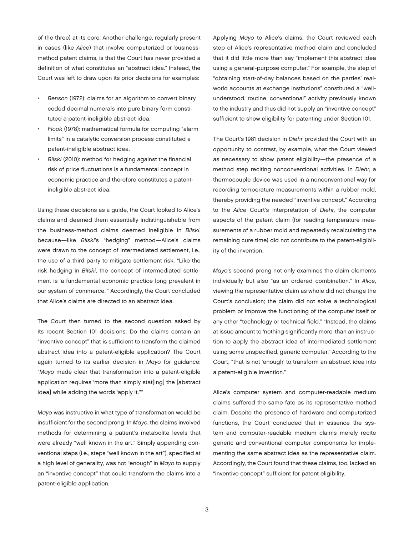of the three) at its core. Another challenge, regularly present in cases (like *Alice*) that involve computerized or businessmethod patent claims, is that the Court has never provided a definition of what constitutes an "abstract idea." Instead, the Court was left to draw upon its prior decisions for examples:

- Benson (1972): claims for an algorithm to convert binary coded decimal numerals into pure binary form constituted a patent-ineligible abstract idea.
- Flook (1978): mathematical formula for computing "alarm limits" in a catalytic conversion process constituted a patent-ineligible abstract idea.
- Bilski (2010): method for hedging against the financial risk of price fluctuations is a fundamental concept in economic practice and therefore constitutes a patentineligible abstract idea.

Using these decisions as a guide, the Court looked to Alice's claims and deemed them essentially indistinguishable from the business-method claims deemed ineligible in *Bilski*, because—like *Bilski*'s "hedging" method—Alice's claims were drawn to the concept of intermediated settlement, i.e., the use of a third party to mitigate settlement risk: "Like the risk hedging in *Bilski*, the concept of intermediated settlement is 'a fundamental economic practice long prevalent in our system of commerce.'" Accordingly, the Court concluded that Alice's claims are directed to an abstract idea.

The Court then turned to the second question asked by its recent Section 101 decisions: Do the claims contain an "inventive concept" that is sufficient to transform the claimed abstract idea into a patent-eligible application? The Court again turned to its earlier decision in *Mayo* for guidance: "*Mayo* made clear that transformation into a patent-eligible application requires 'more than simply stat[ing] the [abstract idea] while adding the words 'apply it.''"

*Mayo* was instructive in what type of transformation would be insufficient for the second prong. In *Mayo*, the claims involved methods for determining a patient's metabolite levels that were already "well known in the art." Simply appending conventional steps (i.e., steps "well known in the art"), specified at a high level of generality, was not "enough" in *Mayo* to supply an "inventive concept" that could transform the claims into a patent-eligible application.

Applying *Mayo* to Alice's claims, the Court reviewed each step of Alice's representative method claim and concluded that it did little more than say "implement this abstract idea using a general-purpose computer." For example, the step of "obtaining start-of-day balances based on the parties' realworld accounts at exchange institutions" constituted a "wellunderstood, routine, conventional" activity previously known to the industry and thus did not supply an "inventive concept" sufficient to show eligibility for patenting under Section 101.

The Court's 1981 decision in *Diehr* provided the Court with an opportunity to contrast, by example, what the Court viewed as necessary to show patent eligibility—the presence of a method step reciting nonconventional activities. In *Diehr*, a thermocouple device was used in a nonconventional way for recording temperature measurements within a rubber mold, thereby providing the needed "inventive concept." According to the *Alice* Court's interpretation of *Diehr*, the computer aspects of the patent claim (for reading temperature measurements of a rubber mold and repeatedly recalculating the remaining cure time) did not contribute to the patent-eligibility of the invention.

*Mayo*'s second prong not only examines the claim elements individually but also "as an ordered combination." In *Alice*, viewing the representative claim as whole did not change the Court's conclusion; the claim did not solve a technological problem or improve the functioning of the computer itself or any other "technology or technical field." "Instead, the claims at issue amount to 'nothing significantly more' than an instruction to apply the abstract idea of intermediated settlement using some unspecified, generic computer." According to the Court, "that is not 'enough' to transform an abstract idea into a patent-eligible invention."

Alice's computer system and computer-readable medium claims suffered the same fate as its representative method claim. Despite the presence of hardware and computerized functions, the Court concluded that in essence the system and computer-readable medium claims merely recite generic and conventional computer components for implementing the same abstract idea as the representative claim. Accordingly, the Court found that these claims, too, lacked an "inventive concept" sufficient for patent eligibility.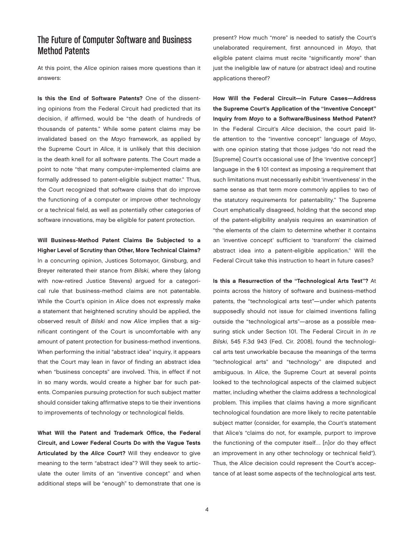## The Future of Computer Software and Business Method Patents

At this point, the *Alice* opinion raises more questions than it answers:

Is this the End of Software Patents? One of the dissenting opinions from the Federal Circuit had predicted that its decision, if affirmed, would be "the death of hundreds of thousands of patents." While some patent claims may be invalidated based on the *Mayo* framework, as applied by the Supreme Court in *Alice*, it is unlikely that this decision is the death knell for all software patents. The Court made a point to note "that many computer-implemented claims are formally addressed to patent-eligible subject matter." Thus, the Court recognized that software claims that do improve the functioning of a computer or improve other technology or a technical field, as well as potentially other categories of software innovations, may be eligible for patent protection.

Will Business-Method Patent Claims Be Subjected to a Higher Level of Scrutiny than Other, More Technical Claims? In a concurring opinion, Justices Sotomayor, Ginsburg, and Breyer reiterated their stance from *Bilski*, where they (along with now-retired Justice Stevens) argued for a categorical rule that business-method claims are not patentable. While the Court's opinion in *Alice* does not expressly make a statement that heightened scrutiny should be applied, the observed result of *Bilski* and now *Alice* implies that a significant contingent of the Court is uncomfortable with any amount of patent protection for business-method inventions. When performing the initial "abstract idea" inquiry, it appears that the Court may lean in favor of finding an abstract idea when "business concepts" are involved. This, in effect if not in so many words, would create a higher bar for such patents. Companies pursuing protection for such subject matter should consider taking affirmative steps to tie their inventions to improvements of technology or technological fields.

What Will the Patent and Trademark Office, the Federal Circuit, and Lower Federal Courts Do with the Vague Tests Articulated by the *Alice* Court? Will they endeavor to give meaning to the term "abstract idea"? Will they seek to articulate the outer limits of an "inventive concept" and when additional steps will be "enough" to demonstrate that one is present? How much "more" is needed to satisfy the Court's unelaborated requirement, first announced in *Mayo*, that eligible patent claims must recite "significantly more" than just the ineligible law of nature (or abstract idea) and routine applications thereof?

How Will the Federal Circuit—in Future Cases—Address the Supreme Court's Application of the "Inventive Concept" Inquiry from *Mayo* to a Software/Business Method Patent? In the Federal Circuit's *Alice* decision, the court paid little attention to the "inventive concept" language of *Mayo*, with one opinion stating that those judges "do not read the [Supreme] Court's occasional use of [the 'inventive concept'] language in the § 101 context as imposing a requirement that such limitations must necessarily exhibit 'inventiveness' in the same sense as that term more commonly applies to two of the statutory requirements for patentability." The Supreme Court emphatically disagreed, holding that the second step of the patent-eligibility analysis requires an examination of "the elements of the claim to determine whether it contains an 'inventive concept' sufficient to 'transform' the claimed abstract idea into a patent-eligible application." Will the Federal Circuit take this instruction to heart in future cases?

Is this a Resurrection of the "Technological Arts Test"? At points across the history of software and business-method patents, the "technological arts test"—under which patents supposedly should not issue for claimed inventions falling outside the "technological arts"—arose as a possible measuring stick under Section 101. The Federal Circuit in *In re Bilski*, 545 F.3d 943 (Fed. Cir. 2008), found the technological arts test unworkable because the meanings of the terms "technological arts" and "technology" are disputed and ambiguous. In *Alice*, the Supreme Court at several points looked to the technological aspects of the claimed subject matter, including whether the claims address a technological problem. This implies that claims having a more significant technological foundation are more likely to recite patentable subject matter (consider, for example, the Court's statement that Alice's "claims do not, for example, purport to improve the functioning of the computer itself… [n]or do they effect an improvement in any other technology or technical field"). Thus, the *Alice* decision could represent the Court's acceptance of at least some aspects of the technological arts test.